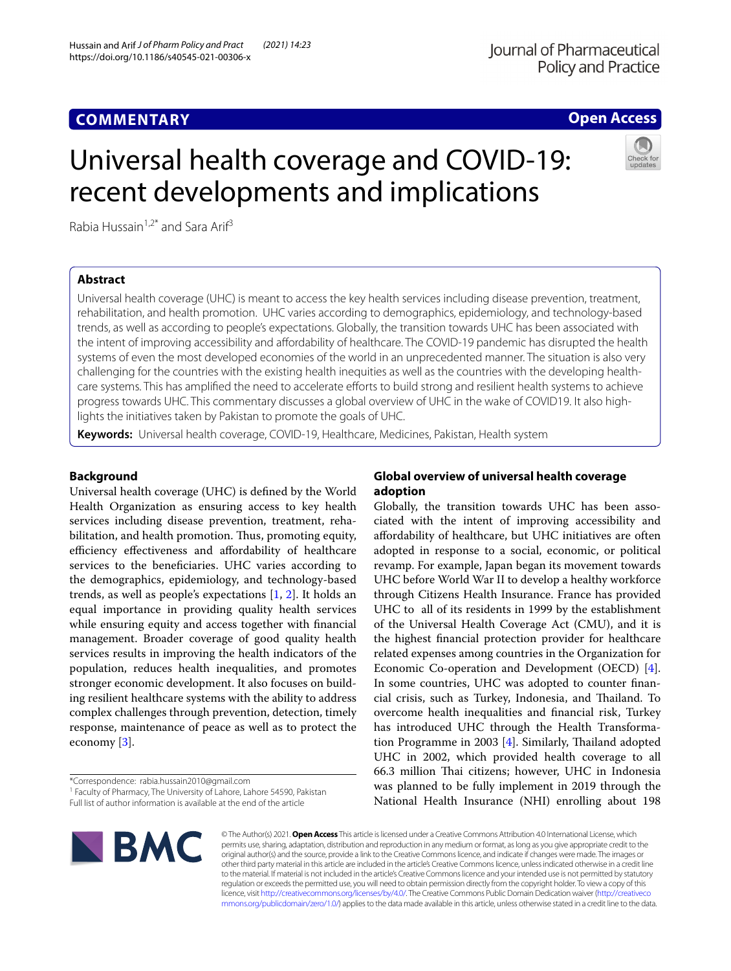# **Open Access**

# Universal health coverage and COVID-19: recent developments and implications



Rabia Hussain<sup>1,2\*</sup> and Sara Arif<sup>3</sup>

# **Abstract**

Universal health coverage (UHC) is meant to access the key health services including disease prevention, treatment, rehabilitation, and health promotion. UHC varies according to demographics, epidemiology, and technology-based trends, as well as according to people's expectations. Globally, the transition towards UHC has been associated with the intent of improving accessibility and afordability of healthcare. The COVID-19 pandemic has disrupted the health systems of even the most developed economies of the world in an unprecedented manner. The situation is also very challenging for the countries with the existing health inequities as well as the countries with the developing healthcare systems. This has amplified the need to accelerate efforts to build strong and resilient health systems to achieve progress towards UHC. This commentary discusses a global overview of UHC in the wake of COVID19. It also highlights the initiatives taken by Pakistan to promote the goals of UHC.

**Keywords:** Universal health coverage, COVID-19, Healthcare, Medicines, Pakistan, Health system

# **Background**

Universal health coverage (UHC) is defned by the World Health Organization as ensuring access to key health services including disease prevention, treatment, rehabilitation, and health promotion. Thus, promoting equity, efficiency effectiveness and affordability of healthcare services to the benefciaries. UHC varies according to the demographics, epidemiology, and technology-based trends, as well as people's expectations [[1,](#page-2-0) [2\]](#page-2-1). It holds an equal importance in providing quality health services while ensuring equity and access together with fnancial management. Broader coverage of good quality health services results in improving the health indicators of the population, reduces health inequalities, and promotes stronger economic development. It also focuses on building resilient healthcare systems with the ability to address complex challenges through prevention, detection, timely response, maintenance of peace as well as to protect the economy [\[3](#page-2-2)].

Full list of author information is available at the end of the article



# **Global overview of universal health coverage adoption**

Globally, the transition towards UHC has been associated with the intent of improving accessibility and afordability of healthcare, but UHC initiatives are often adopted in response to a social, economic, or political revamp. For example, Japan began its movement towards UHC before World War II to develop a healthy workforce through Citizens Health Insurance. France has provided UHC to all of its residents in 1999 by the establishment of the Universal Health Coverage Act (CMU), and it is the highest fnancial protection provider for healthcare related expenses among countries in the Organization for Economic Co-operation and Development (OECD) [\[4](#page-2-3)]. In some countries, UHC was adopted to counter fnancial crisis, such as Turkey, Indonesia, and Thailand. To overcome health inequalities and fnancial risk, Turkey has introduced UHC through the Health Transforma-tion Programme in 2003 [\[4](#page-2-3)]. Similarly, Thailand adopted UHC in 2002, which provided health coverage to all 66.3 million Tai citizens; however, UHC in Indonesia was planned to be fully implement in 2019 through the National Health Insurance (NHI) enrolling about 198

© The Author(s) 2021. **Open Access** This article is licensed under a Creative Commons Attribution 4.0 International License, which permits use, sharing, adaptation, distribution and reproduction in any medium or format, as long as you give appropriate credit to the original author(s) and the source, provide a link to the Creative Commons licence, and indicate if changes were made. The images or other third party material in this article are included in the article's Creative Commons licence, unless indicated otherwise in a credit line to the material. If material is not included in the article's Creative Commons licence and your intended use is not permitted by statutory regulation or exceeds the permitted use, you will need to obtain permission directly from the copyright holder. To view a copy of this licence, visit [http://creativecommons.org/licenses/by/4.0/.](http://creativecommons.org/licenses/by/4.0/) The Creative Commons Public Domain Dedication waiver ([http://creativeco](http://creativecommons.org/publicdomain/zero/1.0/) [mmons.org/publicdomain/zero/1.0/](http://creativecommons.org/publicdomain/zero/1.0/)) applies to the data made available in this article, unless otherwise stated in a credit line to the data.

<sup>\*</sup>Correspondence: rabia.hussain2010@gmail.com

<sup>&</sup>lt;sup>1</sup> Faculty of Pharmacy, The University of Lahore, Lahore 54590, Pakistan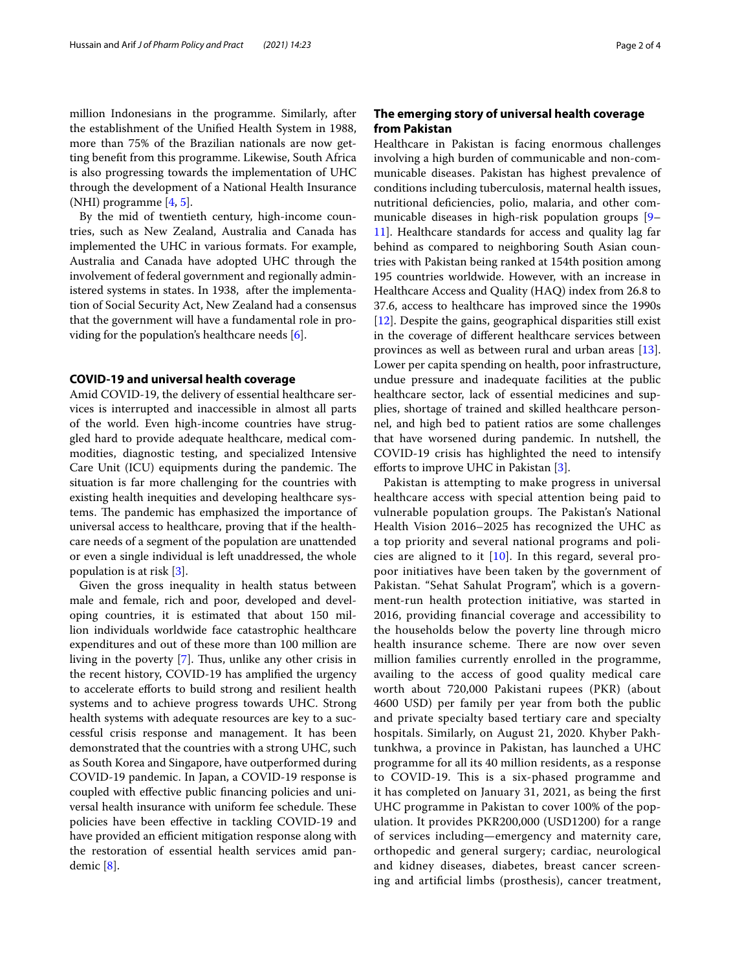million Indonesians in the programme. Similarly, after the establishment of the Unifed Health System in 1988, more than 75% of the Brazilian nationals are now getting beneft from this programme. Likewise, South Africa is also progressing towards the implementation of UHC through the development of a National Health Insurance (NHI) programme [\[4](#page-2-3), [5\]](#page-2-4).

By the mid of twentieth century, high-income countries, such as New Zealand, Australia and Canada has implemented the UHC in various formats. For example, Australia and Canada have adopted UHC through the involvement of federal government and regionally administered systems in states. In 1938, after the implementation of Social Security Act, New Zealand had a consensus that the government will have a fundamental role in providing for the population's healthcare needs [[6\]](#page-2-5).

## **COVID‑19 and universal health coverage**

Amid COVID-19, the delivery of essential healthcare services is interrupted and inaccessible in almost all parts of the world. Even high-income countries have struggled hard to provide adequate healthcare, medical commodities, diagnostic testing, and specialized Intensive Care Unit (ICU) equipments during the pandemic. The situation is far more challenging for the countries with existing health inequities and developing healthcare systems. The pandemic has emphasized the importance of universal access to healthcare, proving that if the healthcare needs of a segment of the population are unattended or even a single individual is left unaddressed, the whole population is at risk [[3\]](#page-2-2).

Given the gross inequality in health status between male and female, rich and poor, developed and developing countries, it is estimated that about 150 million individuals worldwide face catastrophic healthcare expenditures and out of these more than 100 million are living in the poverty  $[7]$  $[7]$ . Thus, unlike any other crisis in the recent history, COVID-19 has amplifed the urgency to accelerate eforts to build strong and resilient health systems and to achieve progress towards UHC. Strong health systems with adequate resources are key to a successful crisis response and management. It has been demonstrated that the countries with a strong UHC, such as South Korea and Singapore, have outperformed during COVID-19 pandemic. In Japan, a COVID-19 response is coupled with efective public fnancing policies and universal health insurance with uniform fee schedule. These policies have been efective in tackling COVID-19 and have provided an efficient mitigation response along with the restoration of essential health services amid pandemic [\[8](#page-2-7)].

## **The emerging story of universal health coverage from Pakistan**

Healthcare in Pakistan is facing enormous challenges involving a high burden of communicable and non-communicable diseases. Pakistan has highest prevalence of conditions including tuberculosis, maternal health issues, nutritional defciencies, polio, malaria, and other communicable diseases in high-risk population groups [[9–](#page-2-8) [11\]](#page-2-9). Healthcare standards for access and quality lag far behind as compared to neighboring South Asian countries with Pakistan being ranked at 154th position among 195 countries worldwide. However, with an increase in Healthcare Access and Quality (HAQ) index from 26.8 to 37.6, access to healthcare has improved since the 1990s [[12\]](#page-2-10). Despite the gains, geographical disparities still exist in the coverage of diferent healthcare services between provinces as well as between rural and urban areas [\[13](#page-2-11)]. Lower per capita spending on health, poor infrastructure, undue pressure and inadequate facilities at the public healthcare sector, lack of essential medicines and supplies, shortage of trained and skilled healthcare personnel, and high bed to patient ratios are some challenges that have worsened during pandemic. In nutshell, the COVID-19 crisis has highlighted the need to intensify efforts to improve UHC in Pakistan [[3\]](#page-2-2).

Pakistan is attempting to make progress in universal healthcare access with special attention being paid to vulnerable population groups. The Pakistan's National Health Vision 2016–2025 has recognized the UHC as a top priority and several national programs and policies are aligned to it [[10\]](#page-2-12). In this regard, several propoor initiatives have been taken by the government of Pakistan. "Sehat Sahulat Program", which is a government-run health protection initiative, was started in 2016, providing fnancial coverage and accessibility to the households below the poverty line through micro health insurance scheme. There are now over seven million families currently enrolled in the programme, availing to the access of good quality medical care worth about 720,000 Pakistani rupees (PKR) (about 4600 USD) per family per year from both the public and private specialty based tertiary care and specialty hospitals. Similarly, on August 21, 2020. Khyber Pakhtunkhwa, a province in Pakistan, has launched a UHC programme for all its 40 million residents, as a response to COVID-19. This is a six-phased programme and it has completed on January 31, 2021, as being the frst UHC programme in Pakistan to cover 100% of the population. It provides PKR200,000 (USD1200) for a range of services including—emergency and maternity care, orthopedic and general surgery; cardiac, neurological and kidney diseases, diabetes, breast cancer screening and artifcial limbs (prosthesis), cancer treatment,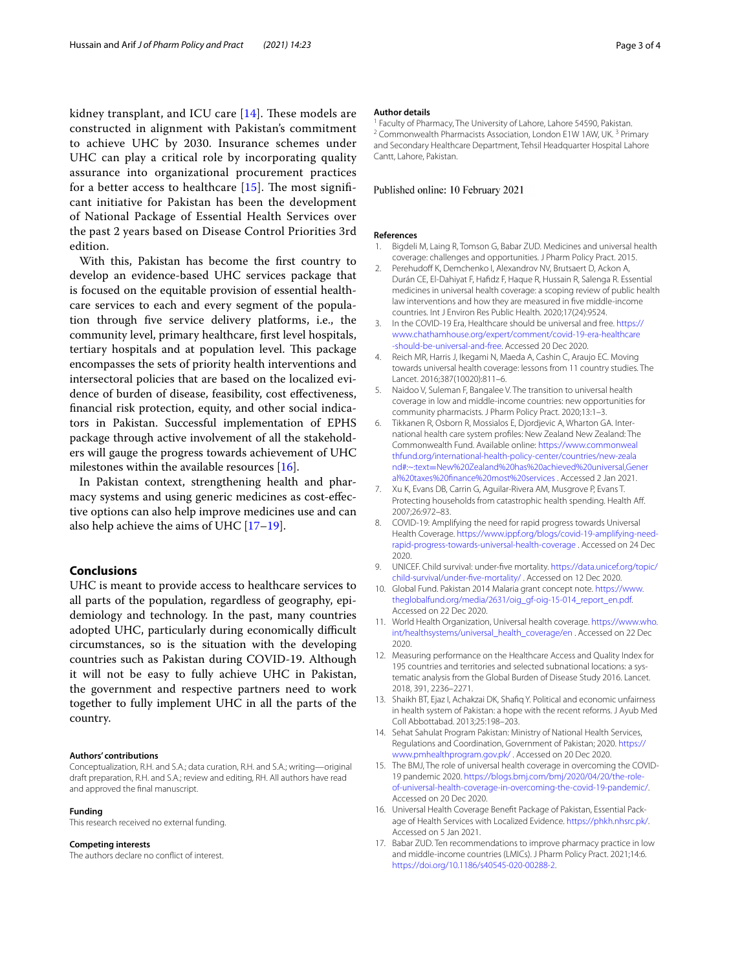kidney transplant, and ICU care  $[14]$  $[14]$  $[14]$ . These models are constructed in alignment with Pakistan's commitment to achieve UHC by 2030. Insurance schemes under UHC can play a critical role by incorporating quality assurance into organizational procurement practices for a better access to healthcare  $[15]$  $[15]$ . The most significant initiative for Pakistan has been the development of National Package of Essential Health Services over the past 2 years based on Disease Control Priorities 3rd edition.

With this, Pakistan has become the frst country to develop an evidence-based UHC services package that is focused on the equitable provision of essential healthcare services to each and every segment of the population through fve service delivery platforms, i.e., the community level, primary healthcare, frst level hospitals, tertiary hospitals and at population level. This package encompasses the sets of priority health interventions and intersectoral policies that are based on the localized evidence of burden of disease, feasibility, cost efectiveness, fnancial risk protection, equity, and other social indicators in Pakistan. Successful implementation of EPHS package through active involvement of all the stakeholders will gauge the progress towards achievement of UHC milestones within the available resources [[16\]](#page-2-15).

In Pakistan context, strengthening health and pharmacy systems and using generic medicines as cost-efective options can also help improve medicines use and can also help achieve the aims of UHC [\[17–](#page-2-16)[19\]](#page-3-0).

## **Conclusions**

UHC is meant to provide access to healthcare services to all parts of the population, regardless of geography, epidemiology and technology. In the past, many countries adopted UHC, particularly during economically difficult circumstances, so is the situation with the developing countries such as Pakistan during COVID-19. Although it will not be easy to fully achieve UHC in Pakistan, the government and respective partners need to work together to fully implement UHC in all the parts of the country.

#### **Authors' contributions**

Conceptualization, R.H. and S.A.; data curation, R.H. and S.A.; writing—original draft preparation, R.H. and S.A.; review and editing, RH. All authors have read and approved the fnal manuscript.

#### **Funding**

This research received no external funding.

### **Competing interests**

The authors declare no confict of interest.

#### **Author details**

<sup>1</sup> Faculty of Pharmacy, The University of Lahore, Lahore 54590, Pakistan.<br><sup>2</sup> Commonwealth Pharmacists Association, London E1W 1AW, UK. <sup>3</sup> Primary and Secondary Healthcare Department, Tehsil Headquarter Hospital Lahore Cantt, Lahore, Pakistan.

#### Published online: 10 February 2021

#### **References**

- <span id="page-2-0"></span>1. Bigdeli M, Laing R, Tomson G, Babar ZUD. Medicines and universal health coverage: challenges and opportunities. J Pharm Policy Pract. 2015.
- <span id="page-2-1"></span>2. Perehudoff K, Demchenko I, Alexandrov NV, Brutsaert D, Ackon A, Durán CE, El-Dahiyat F, Hafdz F, Haque R, Hussain R, Salenga R. Essential medicines in universal health coverage: a scoping review of public health law interventions and how they are measured in fve middle-income countries. Int J Environ Res Public Health. 2020;17(24):9524.
- <span id="page-2-2"></span>3. In the COVID-19 Era, Healthcare should be universal and free. [https://](https://www.chathamhouse.org/expert/comment/covid-19-era-healthcare-should-be-universal-and-free) [www.chathamhouse.org/expert/comment/covid-19-era-healthcare](https://www.chathamhouse.org/expert/comment/covid-19-era-healthcare-should-be-universal-and-free) [-should-be-universal-and-free.](https://www.chathamhouse.org/expert/comment/covid-19-era-healthcare-should-be-universal-and-free) Accessed 20 Dec 2020.
- <span id="page-2-3"></span>4. Reich MR, Harris J, Ikegami N, Maeda A, Cashin C, Araujo EC. Moving towards universal health coverage: lessons from 11 country studies. The Lancet. 2016;387(10020):811–6.
- <span id="page-2-4"></span>5. Naidoo V, Suleman F, Bangalee V. The transition to universal health coverage in low and middle-income countries: new opportunities for community pharmacists. J Pharm Policy Pract. 2020;13:1–3.
- <span id="page-2-5"></span>6. Tikkanen R, Osborn R, Mossialos E, Djordjevic A, Wharton GA. International health care system profles: New Zealand New Zealand: The Commonwealth Fund. Available online: [https://www.commonweal](https://www.commonwealthfund.org/international-health-policy-center/countries/new-zealand#:~:text=New%20Zealand%20has%20achieved%20universal,General%20taxes%20finance%20most%20services) [thfund.org/international-health-policy-center/countries/new-zeala](https://www.commonwealthfund.org/international-health-policy-center/countries/new-zealand#:~:text=New%20Zealand%20has%20achieved%20universal,General%20taxes%20finance%20most%20services) nd#:~:text=[New%20Zealand%20has%20achieved%20universal,Gener](https://www.commonwealthfund.org/international-health-policy-center/countries/new-zealand#:~:text=New%20Zealand%20has%20achieved%20universal,General%20taxes%20finance%20most%20services) [al%20taxes%20fnance%20most%20services](https://www.commonwealthfund.org/international-health-policy-center/countries/new-zealand#:~:text=New%20Zealand%20has%20achieved%20universal,General%20taxes%20finance%20most%20services) . Accessed 2 Jan 2021.
- <span id="page-2-6"></span>7. Xu K, Evans DB, Carrin G, Aguilar-Rivera AM, Musgrove P, Evans T. Protecting households from catastrophic health spending. Health Af. 2007;26:972–83.
- <span id="page-2-7"></span>8. COVID-19: Amplifying the need for rapid progress towards Universal Health Coverage. [https://www.ippf.org/blogs/covid-19-amplifying-need](https://www.ippf.org/blogs/covid-19-amplifying-need-rapid-progress-towards-universal-health-coverage)[rapid-progress-towards-universal-health-coverage](https://www.ippf.org/blogs/covid-19-amplifying-need-rapid-progress-towards-universal-health-coverage) . Accessed on 24 Dec 2020.
- <span id="page-2-8"></span>9. UNICEF. Child survival: under-fve mortality. [https://data.unicef.org/topic/](https://data.unicef.org/topic/child-survival/under-five-mortality/) [child-survival/under-fve-mortality/](https://data.unicef.org/topic/child-survival/under-five-mortality/) . Accessed on 12 Dec 2020.
- <span id="page-2-12"></span>10. Global Fund. Pakistan 2014 Malaria grant concept note. [https://www.](https://www.theglobalfund.org/media/2631/oig_gf-oig-15-014_report_en.pdf) [theglobalfund.org/media/2631/oig\\_gf-oig-15-014\\_report\\_en.pdf.](https://www.theglobalfund.org/media/2631/oig_gf-oig-15-014_report_en.pdf) Accessed on 22 Dec 2020.
- <span id="page-2-9"></span>11. World Health Organization, Universal health coverage. [https://www.who.](https://www.who.int/healthsystems/universal_health_coverage/en) [int/healthsystems/universal\\_health\\_coverage/en](https://www.who.int/healthsystems/universal_health_coverage/en) . Accessed on 22 Dec 2020.
- <span id="page-2-10"></span>12. Measuring performance on the Healthcare Access and Quality Index for 195 countries and territories and selected subnational locations: a systematic analysis from the Global Burden of Disease Study 2016. Lancet. 2018, 391, 2236–2271.
- <span id="page-2-11"></span>13. Shaikh BT, Ejaz I, Achakzai DK, Shafq Y. Political and economic unfairness in health system of Pakistan: a hope with the recent reforms. J Ayub Med Coll Abbottabad. 2013;25:198–203.
- <span id="page-2-13"></span>14. Sehat Sahulat Program Pakistan: Ministry of National Health Services, Regulations and Coordination, Government of Pakistan; 2020. [https://](https://www.pmhealthprogram.gov.pk/) [www.pmhealthprogram.gov.pk/](https://www.pmhealthprogram.gov.pk/) . Accessed on 20 Dec 2020.
- <span id="page-2-14"></span>15. The BMJ, The role of universal health coverage in overcoming the COVID-19 pandemic 2020. [https://blogs.bmj.com/bmj/2020/04/20/the-role](https://blogs.bmj.com/bmj/2020/04/20/the-role-of-universal-health-coverage-in-overcoming-the-covid-19-pandemic/)[of-universal-health-coverage-in-overcoming-the-covid-19-pandemic/](https://blogs.bmj.com/bmj/2020/04/20/the-role-of-universal-health-coverage-in-overcoming-the-covid-19-pandemic/). Accessed on 20 Dec 2020.
- <span id="page-2-15"></span>16. Universal Health Coverage Beneft Package of Pakistan, Essential Package of Health Services with Localized Evidence. <https://phkh.nhsrc.pk/>. Accessed on 5 Jan 2021.
- <span id="page-2-16"></span>17. Babar ZUD. Ten recommendations to improve pharmacy practice in low and middle-income countries (LMICs). J Pharm Policy Pract. 2021;14:6. <https://doi.org/10.1186/s40545-020-00288-2>.